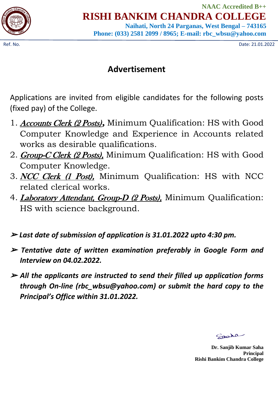

**NAAC Accredited B++ RISHI BANKIM CHANDRA COLLEGE**

**Naihati, North 24 Parganas, West Bengal – 743165 Phone: (033) 2581 2099 / 8965; E-mail: rbc\_wbsu@yahoo.com**

Ref. No. Date: 21.01.2022

## **Advertisement**

Applications are invited from eligible candidates for the following posts (fixed pay) of the College.

- 1. Accounts Clerk (2 Posts)*,* Minimum Qualification: HS with Good Computer Knowledge and Experience in Accounts related works as desirable qualifications.
- 2. **Group-C Clerk (2 Posts)**, Minimum Qualification: HS with Good Computer Knowledge.
- 3. NCC Clerk (1 Post), Minimum Qualification: HS with NCC related clerical works.
- 4. *Laboratory Attendant, Group-D (2 Posts)*, Minimum Qualification: HS with science background.
- ➢ *Last date of submission of application is 31.01.2022 upto 4:30 pm.*
- ➢ *Tentative date of written examination preferably in Google Form and Interview on 04.02.2022.*
- ➢ *All the applicants are instructed to send their filled up application forms through On-line (rbc\_wbsu@yahoo.com) or submit the hard copy to the Principal's Office within 31.01.2022.*

Spoka

 **Dr. Sanjib Kumar Saha Principal Rishi Bankim Chandra College**